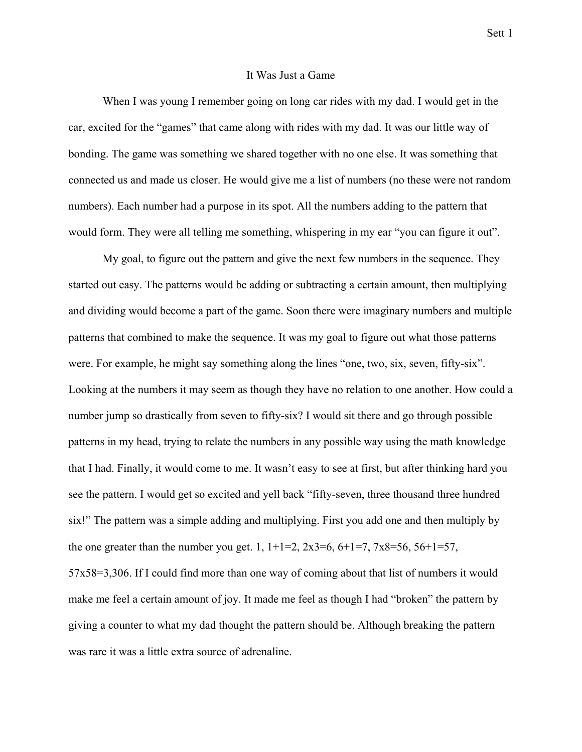## It Was Just a Game

When I was young I remember going on long car rides with my dad. I would get in the car, excited for the "games" that came along with rides with my dad. It was our little way of bonding. The game was something we shared together with no one else. It was something that connected us and made us closer. He would give me a list of numbers (no these were not random numbers). Each number had a purpose in its spot. All the numbers adding to the pattern that would form. They were all telling me something, whispering in my ear "you can figure it out".

My goal, to figure out the pattern and give the next few numbers in the sequence. They started out easy. The patterns would be adding or subtracting a certain amount, then multiplying and dividing would become a part of the game. Soon there were imaginary numbers and multiple patterns that combined to make the sequence. It was my goal to figure out what those patterns were. For example, he might say something along the lines "one, two, six, seven, fifty-six". Looking at the numbers it may seem as though they have no relation to one another. How could a number jump so drastically from seven to fifty-six? I would sit there and go through possible patterns in my head, trying to relate the numbers in any possible way using the math knowledge that I had. Finally, it would come to me. It wasn't easy to see at first, but after thinking hard you see the pattern. I would get so excited and yell back "fifty-seven, three thousand three hundred six!" The pattern was a simple adding and multiplying. First you add one and then multiply by the one greater than the number you get. 1,  $1+1=2$ ,  $2x3=6$ ,  $6+1=7$ ,  $7x8=56$ ,  $56+1=57$ , 57x58=3,306. If I could find more than one way of coming about that list of numbers it would make me feel a certain amount of joy. It made me feel as though I had "broken" the pattern by giving a counter to what my dad thought the pattern should be. Although breaking the pattern was rare it was a little extra source of adrenaline.

Sett 1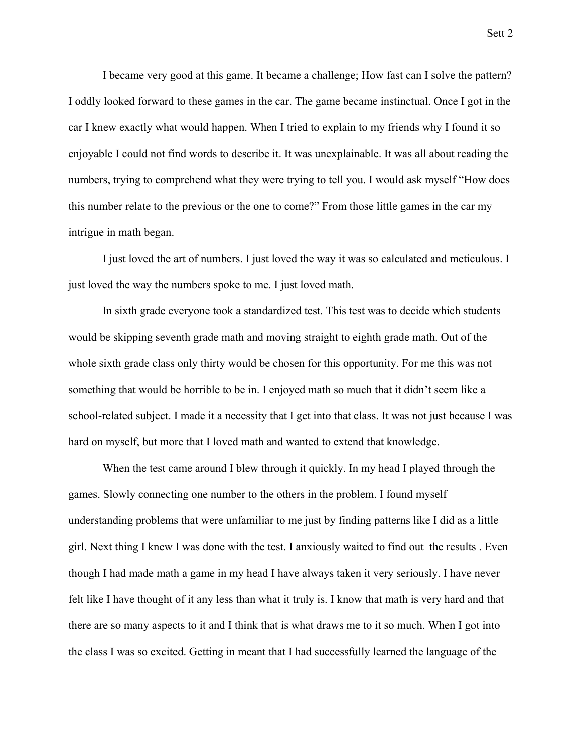I became very good at this game. It became a challenge; How fast can I solve the pattern? I oddly looked forward to these games in the car. The game became instinctual. Once I got in the car I knew exactly what would happen. When I tried to explain to my friends why I found it so enjoyable I could not find words to describe it. It was unexplainable. It was all about reading the numbers, trying to comprehend what they were trying to tell you. I would ask myself "How does this number relate to the previous or the one to come?" From those little games in the car my intrigue in math began.

 I just loved the art of numbers. I just loved the way it was so calculated and meticulous. I just loved the way the numbers spoke to me. I just loved math.

 In sixth grade everyone took a standardized test. This test was to decide which students would be skipping seventh grade math and moving straight to eighth grade math. Out of the whole sixth grade class only thirty would be chosen for this opportunity. For me this was not something that would be horrible to be in. I enjoyed math so much that it didn't seem like a school-related subject. I made it a necessity that I get into that class. It was not just because I was hard on myself, but more that I loved math and wanted to extend that knowledge.

When the test came around I blew through it quickly. In my head I played through the games. Slowly connecting one number to the others in the problem. I found myself understanding problems that were unfamiliar to me just by finding patterns like I did as a little girl. Next thing I knew I was done with the test. I anxiously waited to find out the results . Even though I had made math a game in my head I have always taken it very seriously. I have never felt like I have thought of it any less than what it truly is. I know that math is very hard and that there are so many aspects to it and I think that is what draws me to it so much. When I got into the class I was so excited. Getting in meant that I had successfully learned the language of the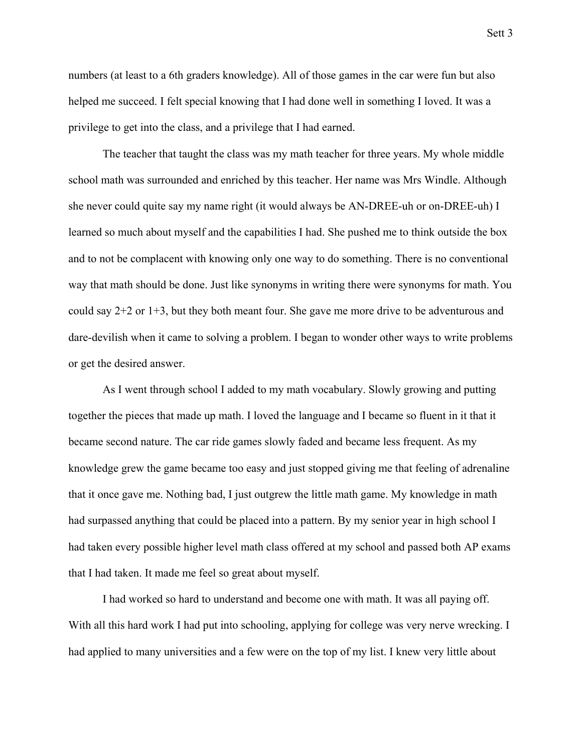numbers (at least to a 6th graders knowledge). All of those games in the car were fun but also helped me succeed. I felt special knowing that I had done well in something I loved. It was a privilege to get into the class, and a privilege that I had earned.

 The teacher that taught the class was my math teacher for three years. My whole middle school math was surrounded and enriched by this teacher. Her name was Mrs Windle. Although she never could quite say my name right (it would always be AN-DREE-uh or on-DREE-uh) I learned so much about myself and the capabilities I had. She pushed me to think outside the box and to not be complacent with knowing only one way to do something. There is no conventional way that math should be done. Just like synonyms in writing there were synonyms for math. You could say 2+2 or 1+3, but they both meant four. She gave me more drive to be adventurous and dare-devilish when it came to solving a problem. I began to wonder other ways to write problems or get the desired answer.

 As I went through school I added to my math vocabulary. Slowly growing and putting together the pieces that made up math. I loved the language and I became so fluent in it that it became second nature. The car ride games slowly faded and became less frequent. As my knowledge grew the game became too easy and just stopped giving me that feeling of adrenaline that it once gave me. Nothing bad, I just outgrew the little math game. My knowledge in math had surpassed anything that could be placed into a pattern. By my senior year in high school I had taken every possible higher level math class offered at my school and passed both AP exams that I had taken. It made me feel so great about myself.

I had worked so hard to understand and become one with math. It was all paying off. With all this hard work I had put into schooling, applying for college was very nerve wrecking. I had applied to many universities and a few were on the top of my list. I knew very little about

Sett 3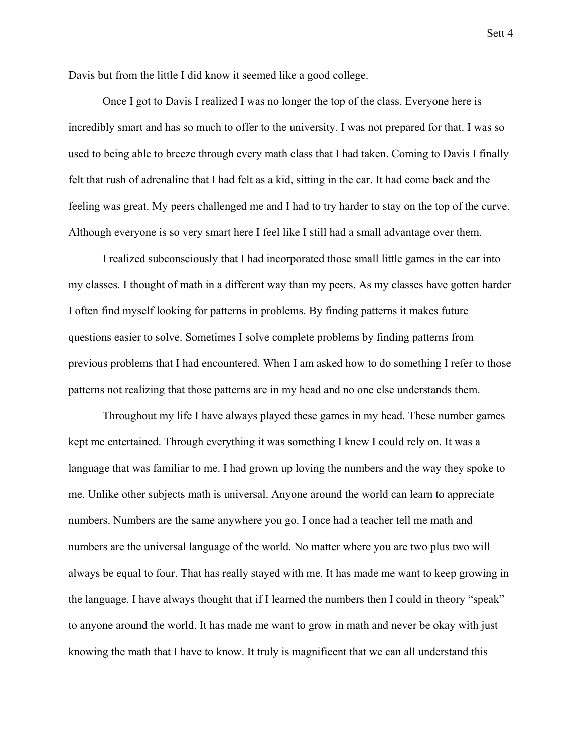Davis but from the little I did know it seemed like a good college.

 Once I got to Davis I realized I was no longer the top of the class. Everyone here is incredibly smart and has so much to offer to the university. I was not prepared for that. I was so used to being able to breeze through every math class that I had taken. Coming to Davis I finally felt that rush of adrenaline that I had felt as a kid, sitting in the car. It had come back and the feeling was great. My peers challenged me and I had to try harder to stay on the top of the curve. Although everyone is so very smart here I feel like I still had a small advantage over them.

 I realized subconsciously that I had incorporated those small little games in the car into my classes. I thought of math in a different way than my peers. As my classes have gotten harder I often find myself looking for patterns in problems. By finding patterns it makes future questions easier to solve. Sometimes I solve complete problems by finding patterns from previous problems that I had encountered. When I am asked how to do something I refer to those patterns not realizing that those patterns are in my head and no one else understands them.

 Throughout my life I have always played these games in my head. These number games kept me entertained. Through everything it was something I knew I could rely on. It was a language that was familiar to me. I had grown up loving the numbers and the way they spoke to me. Unlike other subjects math is universal. Anyone around the world can learn to appreciate numbers. Numbers are the same anywhere you go. I once had a teacher tell me math and numbers are the universal language of the world. No matter where you are two plus two will always be equal to four. That has really stayed with me. It has made me want to keep growing in the language. I have always thought that if I learned the numbers then I could in theory "speak" to anyone around the world. It has made me want to grow in math and never be okay with just knowing the math that I have to know. It truly is magnificent that we can all understand this